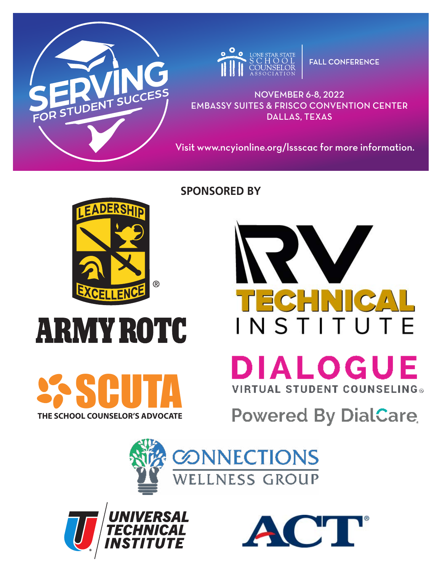



**FALL CONFERENCE** 

NOVEMBER 6-8, 2022 EMBASSY SUITES & FRISCO CONVENTION CENTER DALLAS, TEXAS

Visit www.ncyionline.org/lssscac for more information.

**SPONSORED BY**



# **ARMY ROTC**



**DIALOGUE VIRTUAL STUDENT COUNSELING®** 

INSTITUTE

W

TECHNI

**Powered By DialCare** 





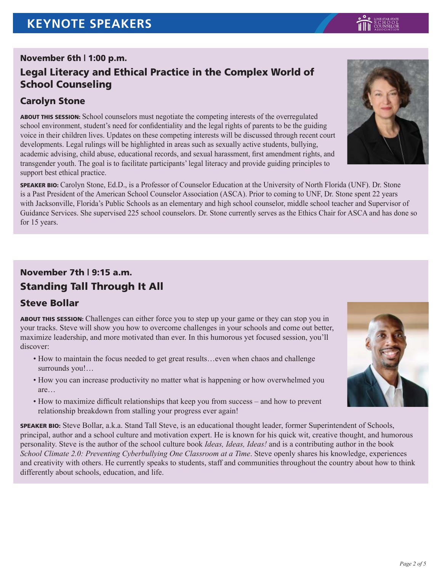## November 6th | 1:00 p.m.

## Legal Literacy and Ethical Practice in the Complex World of School Counseling

## Carolyn Stone

ABOUT THIS SESSION: School counselors must negotiate the competing interests of the overregulated school environment, student's need for confidentiality and the legal rights of parents to be the guiding voice in their children lives. Updates on these competing interests will be discussed through recent court developments. Legal rulings will be highlighted in areas such as sexually active students, bullying, academic advising, child abuse, educational records, and sexual harassment, first amendment rights, and transgender youth. The goal is to facilitate participants' legal literacy and provide guiding principles to support best ethical practice.

SPEAKER BIO: Carolyn Stone, Ed.D., is a Professor of Counselor Education at the University of North Florida (UNF). Dr. Stone is a Past President of the American School Counselor Association (ASCA). Prior to coming to UNF, Dr. Stone spent 22 years with Jacksonville, Florida's Public Schools as an elementary and high school counselor, middle school teacher and Supervisor of Guidance Services. She supervised 225 school counselors. Dr. Stone currently serves as the Ethics Chair for ASCA and has done so for 15 years.

## November 7th | 9:15 a.m. Standing Tall Through It All

## Steve Bollar

ABOUT THIS SESSION: Challenges can either force you to step up your game or they can stop you in your tracks. Steve will show you how to overcome challenges in your schools and come out better, maximize leadership, and more motivated than ever. In this humorous yet focused session, you'll discover:

- How to maintain the focus needed to get great results…even when chaos and challenge surrounds you!…
- How you can increase productivity no matter what is happening or how overwhelmed you are…
- How to maximize difficult relationships that keep you from success and how to prevent relationship breakdown from stalling your progress ever again!

SPEAKER BIO: Steve Bollar, a.k.a. Stand Tall Steve, is an educational thought leader, former Superintendent of Schools, principal, author and a school culture and motivation expert. He is known for his quick wit, creative thought, and humorous personality. Steve is the author of the school culture book *Ideas, Ideas, Ideas!* and is a contributing author in the book *School Climate 2.0: Preventing Cyberbullying One Classroom at a Time*. Steve openly shares his knowledge, experiences and creativity with others. He currently speaks to students, staff and communities throughout the country about how to think differently about schools, education, and life.



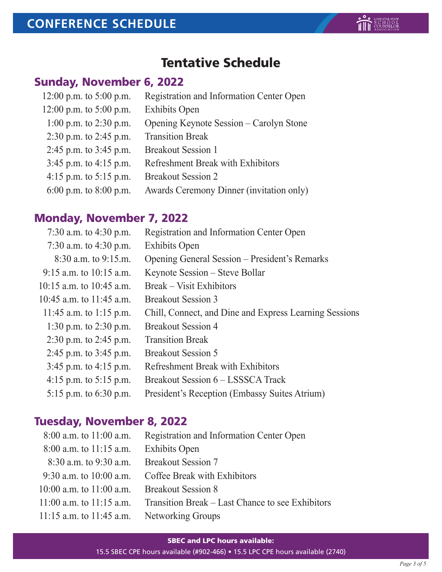# Tentative Schedule

# Sunday, November 6, 2022

| 12:00 p.m. to $5:00$ p.m.  | Registration and Information Center Open |
|----------------------------|------------------------------------------|
| 12:00 p.m. to $5:00$ p.m.  | <b>Exhibits Open</b>                     |
| 1:00 p.m. to 2:30 p.m.     | Opening Keynote Session – Carolyn Stone  |
| 2:30 p.m. to 2:45 p.m.     | <b>Transition Break</b>                  |
| 2:45 p.m. to $3:45$ p.m.   | <b>Breakout Session 1</b>                |
| $3:45$ p.m. to $4:15$ p.m. | Refreshment Break with Exhibitors        |
| 4:15 p.m. to $5:15$ p.m.   | <b>Breakout Session 2</b>                |
| 6:00 p.m. to 8:00 p.m.     | Awards Ceremony Dinner (invitation only) |

## Monday, November 7, 2022

| 7:30 a.m. to 4:30 p.m.     | Registration and Information Center Open               |
|----------------------------|--------------------------------------------------------|
| 7:30 a.m. to 4:30 p.m.     | <b>Exhibits Open</b>                                   |
| $8:30$ a.m. to $9:15$ .m.  | Opening General Session – President's Remarks          |
| 9:15 a.m. to 10:15 a.m.    | Keynote Session – Steve Bollar                         |
| 10:15 a.m. to 10:45 a.m.   | Break – Visit Exhibitors                               |
| 10:45 a.m. to 11:45 a.m.   | <b>Breakout Session 3</b>                              |
| 11:45 a.m. to 1:15 p.m.    | Chill, Connect, and Dine and Express Learning Sessions |
| 1:30 p.m. to 2:30 p.m.     | <b>Breakout Session 4</b>                              |
| 2:30 p.m. to 2:45 p.m.     | <b>Transition Break</b>                                |
| 2:45 p.m. to $3:45$ p.m.   | <b>Breakout Session 5</b>                              |
| $3:45$ p.m. to $4:15$ p.m. | Refreshment Break with Exhibitors                      |
| 4:15 p.m. to $5:15$ p.m.   | Breakout Session 6 – LSSSCA Track                      |
| 5:15 p.m. to $6:30$ p.m.   | President's Reception (Embassy Suites Atrium)          |

## Tuesday, November 8, 2022

| $8:00$ a.m. to $11:00$ a.m.                | Registration and Information Center Open         |
|--------------------------------------------|--------------------------------------------------|
| $8:00$ a.m. to 11:15 a.m.                  | <b>Exhibits Open</b>                             |
| $8:30$ a.m. to 9:30 a.m.                   | <b>Breakout Session 7</b>                        |
| 9:30 a.m. to $10:00$ a.m.                  | Coffee Break with Exhibitors                     |
| $10:00$ a.m. to $11:00$ a.m.               | <b>Breakout Session 8</b>                        |
| $11:00$ a.m. to $11:15$ a.m.               | Transition Break – Last Chance to see Exhibitors |
| 11:15 a.m. to 11:45 a.m. Networking Groups |                                                  |
|                                            |                                                  |

#### SBEC and LPC hours available:

15.5 SBEC CPE hours available (#902-466) • 15.5 LPC CPE hours available (2740)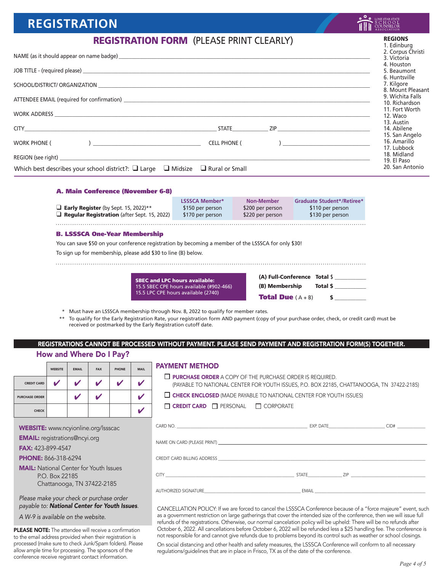# **REGISTRATION**

## REGISTRATION FORM (PLEASE PRINT CLEARLY)

|                                                                                               | 2. Corpus Christi<br>3. Victoria            |
|-----------------------------------------------------------------------------------------------|---------------------------------------------|
|                                                                                               | 4. Houston<br>5. Beaumont<br>6. Huntsville  |
|                                                                                               | 7. Kilgore<br>8. Mount Pleasant             |
|                                                                                               | 9. Wichita Falls<br>10. Richardson          |
|                                                                                               | 11. Fort Worth<br>12. Waco                  |
|                                                                                               | 13. Austin<br>14. Abilene<br>15. San Angelo |
| <b>CELL PHONE (</b><br><b>WORK PHONE (</b>                                                    | 16. Amarillo<br>17. Lubbock                 |
|                                                                                               | 18. Midland<br>19. El Paso                  |
| Which best describes your school district?: $\Box$ Large $\Box$ Midsize $\Box$ Rural or Small | 20. San Antonio                             |

#### A. Main Conference (November 6-8)

| <b>Early Register</b> (by Sept. 15, 2022)**<br>$\Box$ Regular Registration (after Sept. 15, 2022)                                                                                                            | <b>LSSSCA Member*</b><br>\$150 per person<br>\$170 per person                    | <b>Non-Member</b><br>\$200 per person<br>\$220 per person | <b>Graduate Student*/Retiree*</b><br>\$110 per person<br>\$130 per person |  |  |  |
|--------------------------------------------------------------------------------------------------------------------------------------------------------------------------------------------------------------|----------------------------------------------------------------------------------|-----------------------------------------------------------|---------------------------------------------------------------------------|--|--|--|
| <b>B. LSSSCA One-Year Membership</b><br>You can save \$50 on your conference registration by becoming a member of the LSSSCA for only \$30!<br>To sign up for membership, please add \$30 to line (B) below. |                                                                                  |                                                           |                                                                           |  |  |  |
|                                                                                                                                                                                                              | <b>SBEC and LPC hours available:</b><br>15.5 SBEC CPE hours available (#902-466) | (B) Membership                                            | (A) Full-Conference Total \$<br>Total \$                                  |  |  |  |

\* Must have an LSSSCA membership through Nov. 8, 2022 to qualify for member rates.

15.5 LPC CPE hours available (2740)

\*\* To qualify for the Early Registration Rate, your registration form AND payment (copy of your purchase order, check, or credit card) must be received or postmarked by the Early Registration cutoff date.

## REGISTRATIONS CANNOT BE PROCESSED WITHOUT PAYMENT. PLEASE SEND PAYMENT AND REGISTRATION FORM(S) TOGETHER.

### How and Where Do I Pay?

|                       | <b>WEBSITE</b> | <b>EMAIL</b> | <b>FAX</b> | <b>PHONE</b> | <b>MAIL</b> |
|-----------------------|----------------|--------------|------------|--------------|-------------|
| <b>CREDIT CARD</b>    | v              | v            | v          | v            |             |
| <b>PURCHASE ORDER</b> |                |              | v          |              |             |
| <b>CHECK</b>          |                |              |            |              |             |

WEBSITE: www.ncyionline.org/lssscac

EMAIL: registrations@ncyi.org

FAX: 423-899-4547

PHONE: 866-318-6294

MAIL: National Center for Youth Issues P.O. Box 22185 Chattanooga, TN 37422-2185

#### *Please make your check or purchase order payable to: National Center for Youth Issues*.

*A W-9 is available on the website.*

PLEASE NOTE: The attendee will receive a confirmation to the email address provided when their registration is processed (make sure to check Junk/Spam folders). Please allow ample time for processing. The sponsors of the conference receive registrant contact information.

#### PAYMENT METHOD

**D** PURCHASE ORDER A COPY OF THE PURCHASE ORDER IS REQUIRED. (PAYABLE TO NATIONAL CENTER FOR YOUTH ISSUES, P.O. BOX 22185, CHATTANOOGA, TN 37422-2185)

**Total Due**  $(A + B)$  \$

 $\Box$  CHECK ENCLOSED (MADE PAYABLE TO NATIONAL CENTER FOR YOUTH ISSUES)

| $\Box$ <b>CREDIT CARD</b> $\Box$ <b>PERSONAL</b> |  | $\Box$ CORPORATE |
|--------------------------------------------------|--|------------------|
|--------------------------------------------------|--|------------------|

|           | CID# |
|-----------|------|
|           |      |
|           |      |
|           |      |
|           |      |
|           |      |
| STATE ZIP |      |
|           |      |

CANCELLATION POLICY: If we are forced to cancel the LSSSCA Conference because of a "force majeure" event, such as a government restriction on large gatherings that cover the intended size of the conference, then we will issue full refunds of the registrations. Otherwise, our normal cancelation policy will be upheld: There will be no refunds after October 6, 2022. All cancellations before October 6, 2022 will be refunded less a \$25 handling fee. The conference is not responsible for and cannot give refunds due to problems beyond its control such as weather or school closings.

On social distancing and other health and safety measures, the LSSSCA Conference will conform to all necessary regulations/guidelines that are in place in Frisco, TX as of the date of the conference.

REGIONS 1. Edinburg